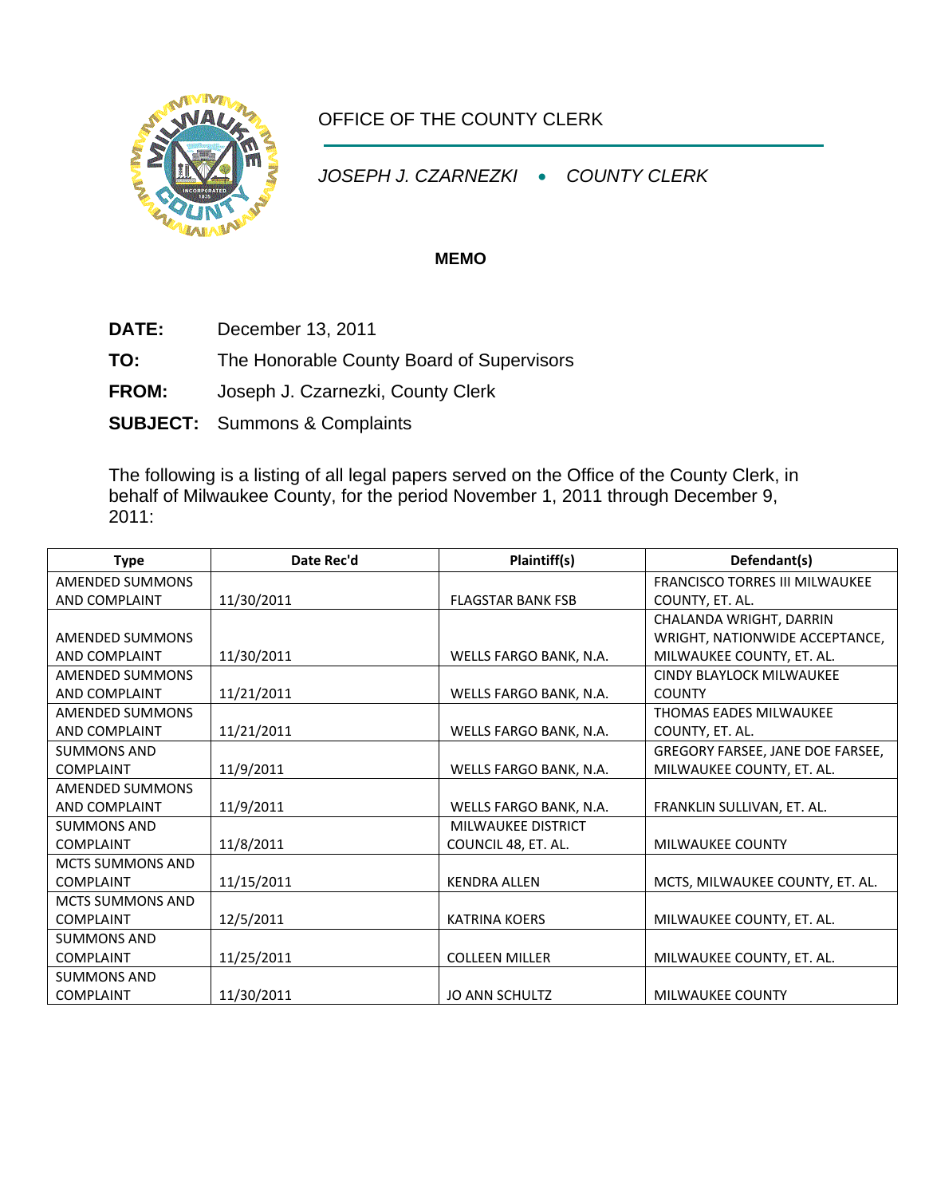

## OFFICE OF THE COUNTY CLERK

*JOSEPH J. CZARNEZKI* • *COUNTY CLERK* 

## **MEMO**

**DATE:** December 13, 2011

**TO:** The Honorable County Board of Supervisors

**FROM:** Joseph J. Czarnezki, County Clerk

**SUBJECT:** Summons & Complaints

The following is a listing of all legal papers served on the Office of the County Clerk, in behalf of Milwaukee County, for the period November 1, 2011 through December 9, 2011:

| <b>Type</b>             | Date Rec'd | Plaintiff(s)              | Defendant(s)                          |
|-------------------------|------------|---------------------------|---------------------------------------|
| AMENDED SUMMONS         |            |                           | <b>FRANCISCO TORRES III MILWAUKEE</b> |
| AND COMPLAINT           | 11/30/2011 | <b>FLAGSTAR BANK FSB</b>  | COUNTY, ET. AL.                       |
|                         |            |                           | CHALANDA WRIGHT, DARRIN               |
| AMENDED SUMMONS         |            |                           | WRIGHT, NATIONWIDE ACCEPTANCE,        |
| AND COMPLAINT           | 11/30/2011 | WELLS FARGO BANK, N.A.    | MILWAUKEE COUNTY, ET. AL.             |
| AMENDED SUMMONS         |            |                           | <b>CINDY BLAYLOCK MILWAUKEE</b>       |
| AND COMPLAINT           | 11/21/2011 | WELLS FARGO BANK, N.A.    | <b>COUNTY</b>                         |
| AMENDED SUMMONS         |            |                           | <b>THOMAS EADES MILWAUKEE</b>         |
| AND COMPLAINT           | 11/21/2011 | WELLS FARGO BANK, N.A.    | COUNTY, ET. AL.                       |
| <b>SUMMONS AND</b>      |            |                           | GREGORY FARSEE, JANE DOE FARSEE,      |
| <b>COMPLAINT</b>        | 11/9/2011  | WELLS FARGO BANK, N.A.    | MILWAUKEE COUNTY, ET. AL.             |
| <b>AMENDED SUMMONS</b>  |            |                           |                                       |
| AND COMPLAINT           | 11/9/2011  | WELLS FARGO BANK, N.A.    | FRANKLIN SULLIVAN, ET. AL.            |
| <b>SUMMONS AND</b>      |            | <b>MILWAUKEE DISTRICT</b> |                                       |
| <b>COMPLAINT</b>        | 11/8/2011  | COUNCIL 48, ET. AL.       | <b>MILWAUKEE COUNTY</b>               |
| <b>MCTS SUMMONS AND</b> |            |                           |                                       |
| <b>COMPLAINT</b>        | 11/15/2011 | <b>KENDRA ALLEN</b>       | MCTS, MILWAUKEE COUNTY, ET. AL.       |
| <b>MCTS SUMMONS AND</b> |            |                           |                                       |
| <b>COMPLAINT</b>        | 12/5/2011  | <b>KATRINA KOERS</b>      | MILWAUKEE COUNTY, ET. AL.             |
| <b>SUMMONS AND</b>      |            |                           |                                       |
| <b>COMPLAINT</b>        | 11/25/2011 | <b>COLLEEN MILLER</b>     | MILWAUKEE COUNTY, ET. AL.             |
| <b>SUMMONS AND</b>      |            |                           |                                       |
| <b>COMPLAINT</b>        | 11/30/2011 | <b>JO ANN SCHULTZ</b>     | <b>MILWAUKEE COUNTY</b>               |